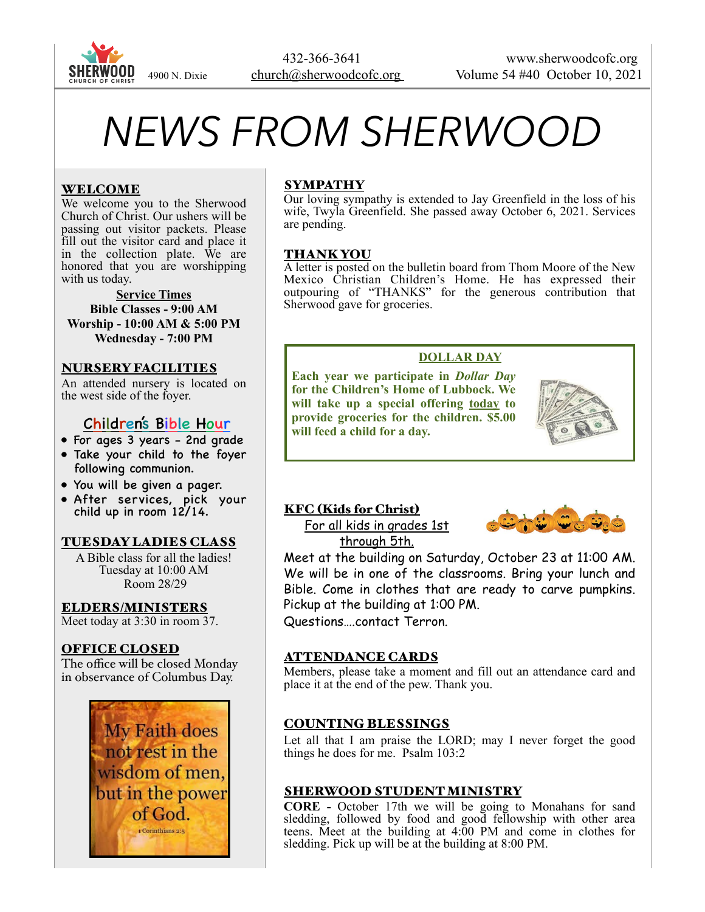

# *NEWS FROM SHERWOOD*

# WELCOME

We welcome you to the Sherwood Church of Christ. Our ushers will be passing out visitor packets. Please fill out the visitor card and place it in the collection plate. We are honored that you are worshipping with us today.

#### **Service Times Bible Classes - 9:00 AM Worship - 10:00 AM & 5:00 PM Wednesday - 7:00 PM**

#### NURSERY FACILITIES

An attended nursery is located on the west side of the foyer.

# Children's Bible Hour

- For ages 3 years 2nd grade
- Take your child to the foyer following communion.
- You will be given a pager.
- After services, pick your child up in room 12/14.

# TUESDAY LADIES CLASS

A Bible class for all the ladies! Tuesday at 10:00 AM Room 28/29

### ELDERS/MINISTERS

Meet today at 3:30 in room 37.

# OFFICE CLOSED

The office will be closed Monday in observance of Columbus Day.



# SYMPATHY

Our loving sympathy is extended to Jay Greenfield in the loss of his wife, Twyla Greenfield. She passed away October 6, 2021. Services are pending.

#### THANK YOU

A letter is posted on the bulletin board from Thom Moore of the New Mexico Christian Children's Home. He has expressed their outpouring of "THANKS" for the generous contribution that Sherwood gave for groceries.

# **DOLLAR DAY**

**Each year we participate in** *Dollar Day*  **for the Children's Home of Lubbock. We will take up a special offering today to provide groceries for the children. \$5.00 will feed a child for a day.** 



# KFC (Kids for Christ)

For all kids in grades 1st through 5th.



Meet at the building on Saturday, October 23 at 11:00 AM. We will be in one of the classrooms. Bring your lunch and Bible. Come in clothes that are ready to carve pumpkins. Pickup at the building at 1:00 PM.

Questions….contact Terron.

#### ATTENDANCE CARDS

Members, please take a moment and fill out an attendance card and place it at the end of the pew. Thank you.

# COUNTING BLESSINGS

Let all that I am praise the LORD; may I never forget the good things he does for me. Psalm 103:2

# SHERWOOD STUDENT MINISTRY

**CORE -** October 17th we will be going to Monahans for sand sledding, followed by food and good fellowship with other area teens. Meet at the building at 4:00 PM and come in clothes for sledding. Pick up will be at the building at 8:00 PM.